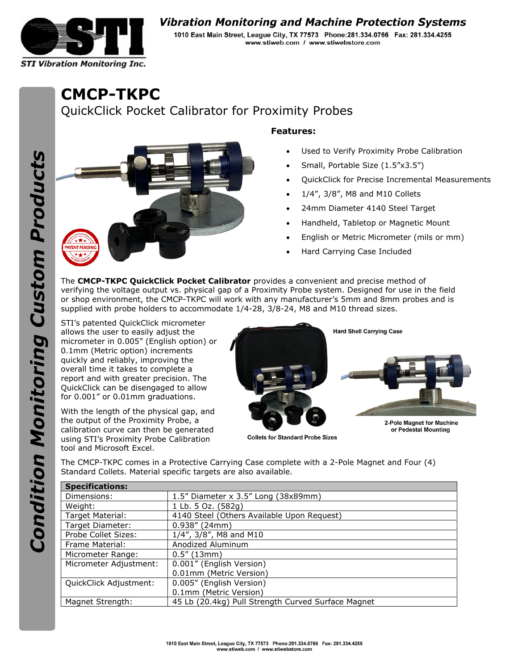

## **Vibration Monitoring and Machine Protection Systems**

1010 East Main Street, League City, TX 77573 Phone: 281.334.0766 Fax: 281.334.4255 www.stiweb.com / www.stiwebstore.com

## **CMCP-TKPC** QuickClick Pocket Calibrator for Proximity Probes



## **Features:**

- Used to Verify Proximity Probe Calibration
- Small, Portable Size (1.5"x3.5")
- QuickClick for Precise Incremental Measurements
- 1/4", 3/8", M8 and M10 Collets
- 24mm Diameter 4140 Steel Target
- Handheld, Tabletop or Magnetic Mount
- English or Metric Micrometer (mils or mm)
- Hard Carrying Case Included

The **CMCP-TKPC QuickClick Pocket Calibrator** provides a convenient and precise method of verifying the voltage output vs. physical gap of a Proximity Probe system. Designed for use in the field or shop environment, the CMCP-TKPC will work with any manufacturer's 5mm and 8mm probes and is supplied with probe holders to accommodate 1/4-28, 3/8-24, M8 and M10 thread sizes.

STI's patented QuickClick micrometer allows the user to easily adjust the micrometer in 0.005" (English option) or 0.1mm (Metric option) increments quickly and reliably, improving the overall time it takes to complete a report and with greater precision. The QuickClick can be disengaged to allow for 0.001" or 0.01mm graduations.

With the length of the physical gap, and the output of the Proximity Probe, a calibration curve can then be generated using STI's Proximity Probe Calibration tool and Microsoft Excel.



**Collets for Standard Probe Sizes** 

or Pedestal Mounting

The CMCP-TKPC comes in a Protective Carrying Case complete with a 2-Pole Magnet and Four (4) Standard Collets. Material specific targets are also available.

| <b>Specifications:</b> |                                                    |
|------------------------|----------------------------------------------------|
| Dimensions:            | 1.5" Diameter x 3.5" Long (38x89mm)                |
| Weight:                | 1 Lb. 5 Oz. (582g)                                 |
| Target Material:       | 4140 Steel (Others Available Upon Request)         |
| Target Diameter:       | $0.938''$ (24mm)                                   |
| Probe Collet Sizes:    | 1/4", 3/8", M8 and M10                             |
| Frame Material:        | Anodized Aluminum                                  |
| Micrometer Range:      | $0.5''$ (13mm)                                     |
| Micrometer Adjustment: | 0.001" (English Version)                           |
|                        | 0.01mm (Metric Version)                            |
| QuickClick Adjustment: | 0.005" (English Version)                           |
|                        | 0.1mm (Metric Version)                             |
| Magnet Strength:       | 45 Lb (20.4kg) Pull Strength Curved Surface Magnet |